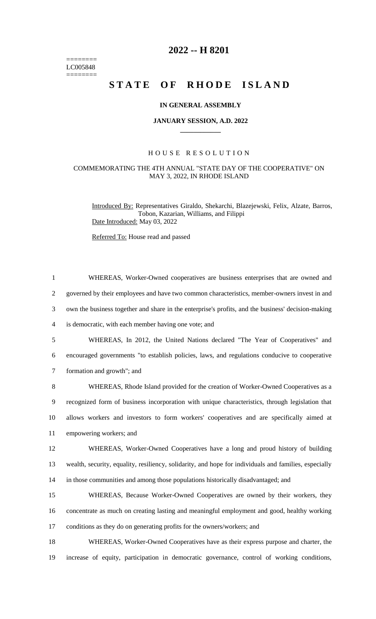======== LC005848 ========

## **2022 -- H 8201**

# **STATE OF RHODE ISLAND**

#### **IN GENERAL ASSEMBLY**

#### **JANUARY SESSION, A.D. 2022 \_\_\_\_\_\_\_\_\_\_\_\_**

#### H O U S E R E S O L U T I O N

### COMMEMORATING THE 4TH ANNUAL "STATE DAY OF THE COOPERATIVE" ON MAY 3, 2022, IN RHODE ISLAND

Introduced By: Representatives Giraldo, Shekarchi, Blazejewski, Felix, Alzate, Barros, Tobon, Kazarian, Williams, and Filippi Date Introduced: May 03, 2022

Referred To: House read and passed

| $\mathbf{1}$   | WHEREAS, Worker-Owned cooperatives are business enterprises that are owned and                        |
|----------------|-------------------------------------------------------------------------------------------------------|
| $\overline{2}$ | governed by their employees and have two common characteristics, member-owners invest in and          |
| 3              | own the business together and share in the enterprise's profits, and the business' decision-making    |
| 4              | is democratic, with each member having one vote; and                                                  |
| 5              | WHEREAS, In 2012, the United Nations declared "The Year of Cooperatives" and                          |
| 6              | encouraged governments "to establish policies, laws, and regulations conducive to cooperative         |
| $\tau$         | formation and growth"; and                                                                            |
| 8              | WHEREAS, Rhode Island provided for the creation of Worker-Owned Cooperatives as a                     |
| 9              | recognized form of business incorporation with unique characteristics, through legislation that       |
| 10             | allows workers and investors to form workers' cooperatives and are specifically aimed at              |
| 11             | empowering workers; and                                                                               |
| 12             | WHEREAS, Worker-Owned Cooperatives have a long and proud history of building                          |
| 13             | wealth, security, equality, resiliency, solidarity, and hope for individuals and families, especially |
| 14             | in those communities and among those populations historically disadvantaged; and                      |
| 15             | WHEREAS, Because Worker-Owned Cooperatives are owned by their workers, they                           |
| 16             | concentrate as much on creating lasting and meaningful employment and good, healthy working           |
| 17             | conditions as they do on generating profits for the owners/workers; and                               |
| 18             | WHEREAS, Worker-Owned Cooperatives have as their express purpose and charter, the                     |

19 increase of equity, participation in democratic governance, control of working conditions,